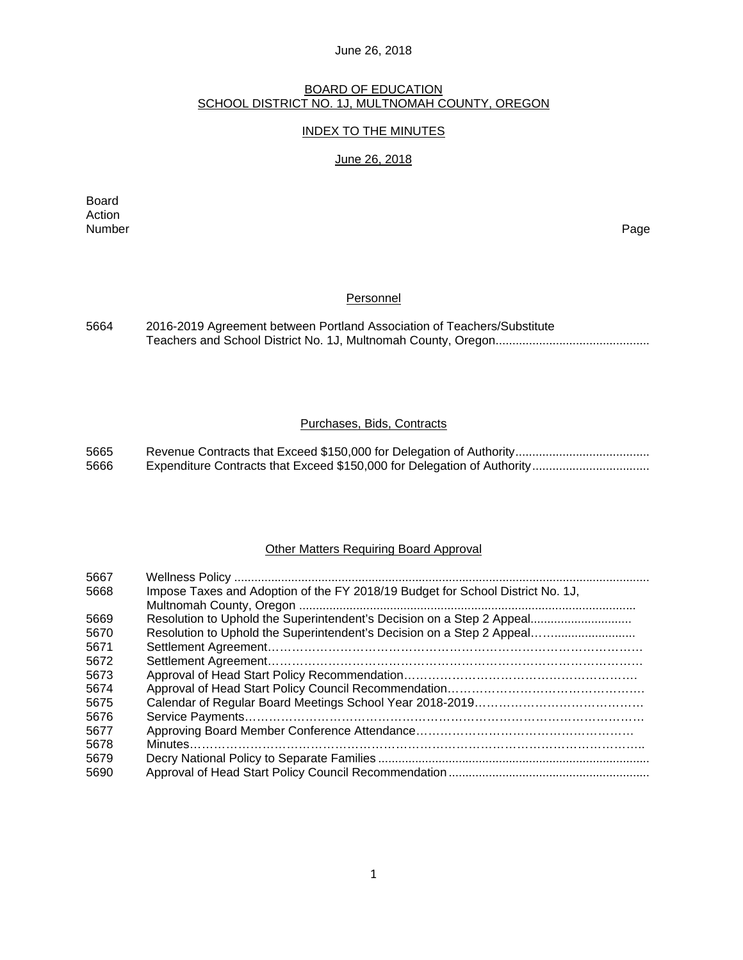## BOARD OF EDUCATION SCHOOL DISTRICT NO. 1J, MULTNOMAH COUNTY, OREGON

## INDEX TO THE MINUTES

## June 26, 2018

Board Action<br>Number Number Page

## **Personnel**

| 5664 | 2016-2019 Agreement between Portland Association of Teachers/Substitute |
|------|-------------------------------------------------------------------------|
|      |                                                                         |

## Purchases, Bids, Contracts

| 5665 |  |
|------|--|
| 5666 |  |

## Other Matters Requiring Board Approval

| 5667 |                                                                                |
|------|--------------------------------------------------------------------------------|
| 5668 | Impose Taxes and Adoption of the FY 2018/19 Budget for School District No. 1J, |
|      |                                                                                |
| 5669 | Resolution to Uphold the Superintendent's Decision on a Step 2 Appeal          |
| 5670 | Resolution to Uphold the Superintendent's Decision on a Step 2 Appeal          |
| 5671 |                                                                                |
| 5672 |                                                                                |
| 5673 |                                                                                |
| 5674 |                                                                                |
| 5675 |                                                                                |
| 5676 |                                                                                |
| 5677 |                                                                                |
| 5678 |                                                                                |
| 5679 |                                                                                |
| 5690 |                                                                                |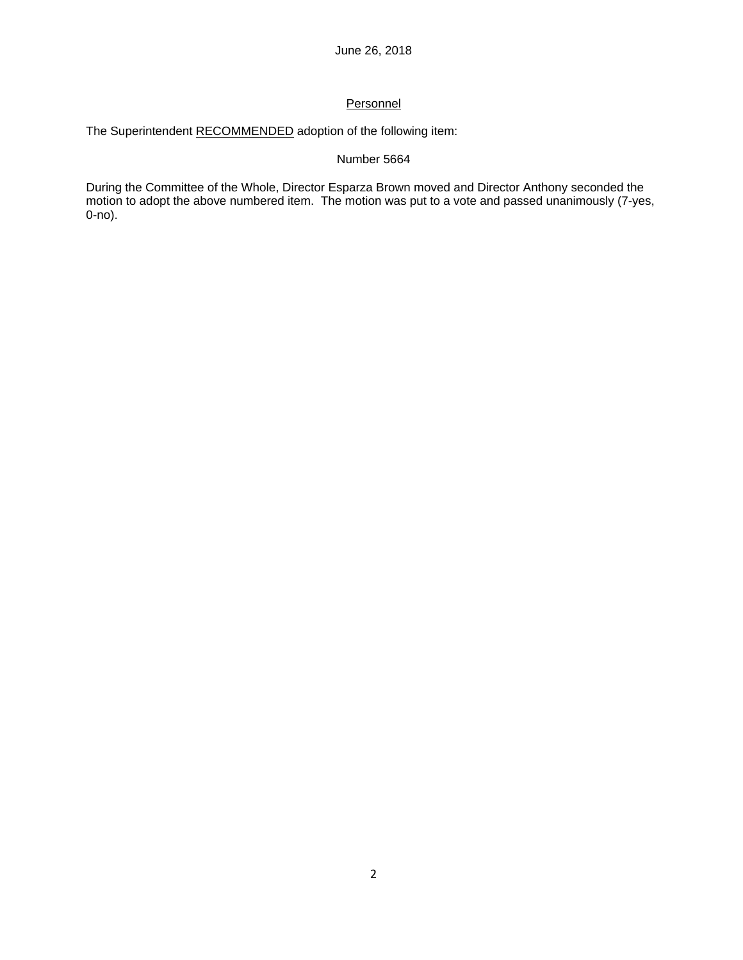## **Personnel**

The Superintendent RECOMMENDED adoption of the following item:

## Number 5664

During the Committee of the Whole, Director Esparza Brown moved and Director Anthony seconded the motion to adopt the above numbered item. The motion was put to a vote and passed unanimously (7-yes, 0-no).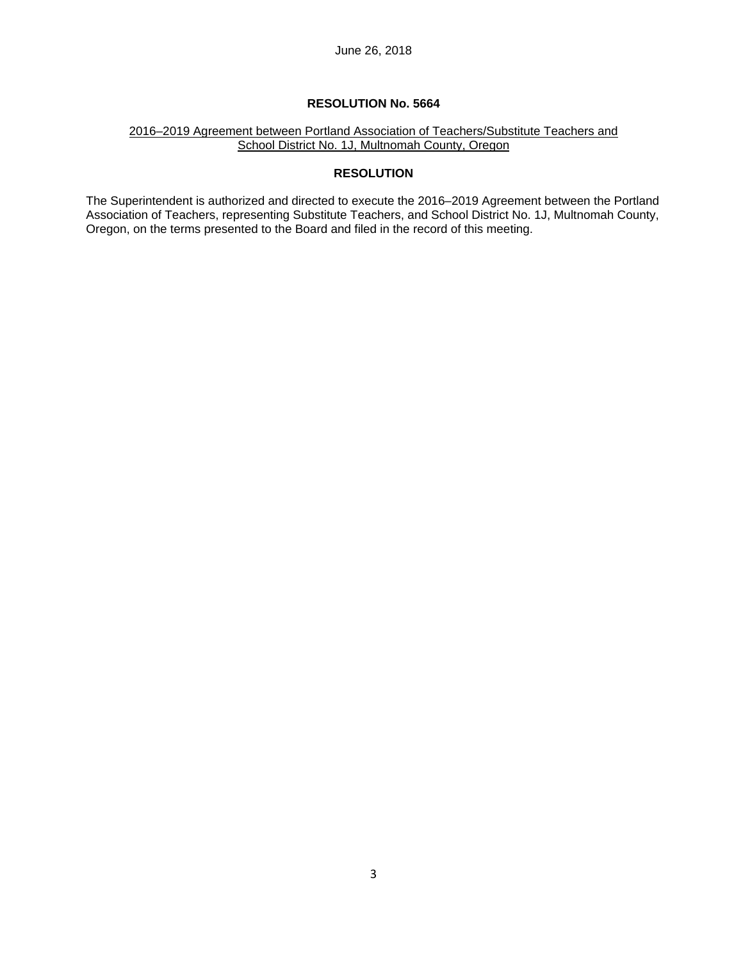## 2016–2019 Agreement between Portland Association of Teachers/Substitute Teachers and School District No. 1J, Multnomah County, Oregon

## **RESOLUTION**

The Superintendent is authorized and directed to execute the 2016–2019 Agreement between the Portland Association of Teachers, representing Substitute Teachers, and School District No. 1J, Multnomah County, Oregon, on the terms presented to the Board and filed in the record of this meeting.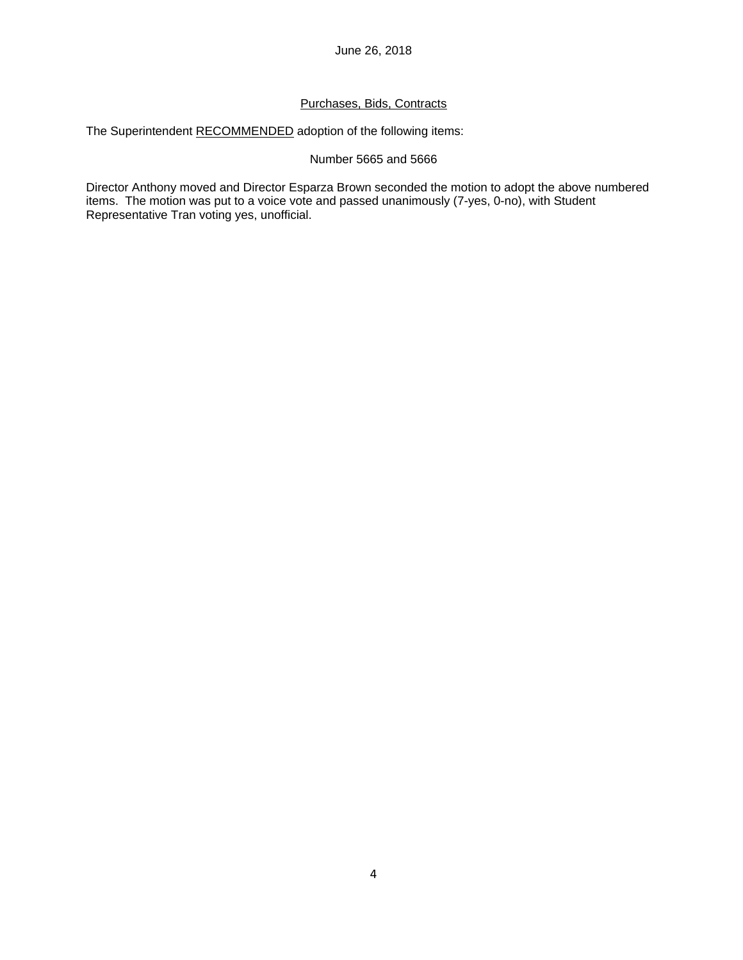## Purchases, Bids, Contracts

The Superintendent RECOMMENDED adoption of the following items:

### Number 5665 and 5666

Director Anthony moved and Director Esparza Brown seconded the motion to adopt the above numbered items. The motion was put to a voice vote and passed unanimously (7-yes, 0-no), with Student Representative Tran voting yes, unofficial.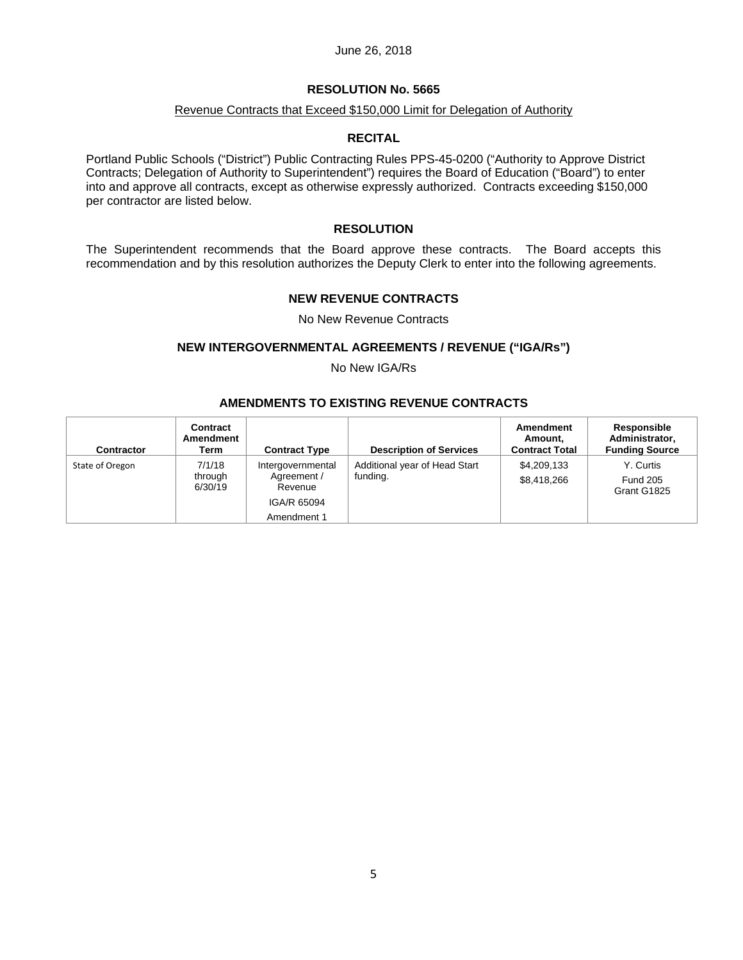### **RESOLUTION No. 5665**

### Revenue Contracts that Exceed \$150,000 Limit for Delegation of Authority

#### **RECITAL**

Portland Public Schools ("District") Public Contracting Rules PPS-45-0200 ("Authority to Approve District Contracts; Delegation of Authority to Superintendent") requires the Board of Education ("Board") to enter into and approve all contracts, except as otherwise expressly authorized. Contracts exceeding \$150,000 per contractor are listed below.

### **RESOLUTION**

The Superintendent recommends that the Board approve these contracts. The Board accepts this recommendation and by this resolution authorizes the Deputy Clerk to enter into the following agreements.

### **NEW REVENUE CONTRACTS**

#### No New Revenue Contracts

### **NEW INTERGOVERNMENTAL AGREEMENTS / REVENUE ("IGA/Rs")**

No New IGA/Rs

## **AMENDMENTS TO EXISTING REVENUE CONTRACTS**

| <b>Contractor</b> | Contract<br>Amendment<br>Term | <b>Contract Type</b>                                                      | <b>Description of Services</b>            | Amendment<br>Amount.<br><b>Contract Total</b> | Responsible<br>Administrator.<br><b>Funding Source</b> |
|-------------------|-------------------------------|---------------------------------------------------------------------------|-------------------------------------------|-----------------------------------------------|--------------------------------------------------------|
| State of Oregon   | 7/1/18<br>through<br>6/30/19  | Intergovernmental<br>Agreement /<br>Revenue<br>IGA/R 65094<br>Amendment 1 | Additional year of Head Start<br>funding. | \$4,209,133<br>\$8,418,266                    | Y. Curtis<br><b>Fund 205</b><br>Grant G1825            |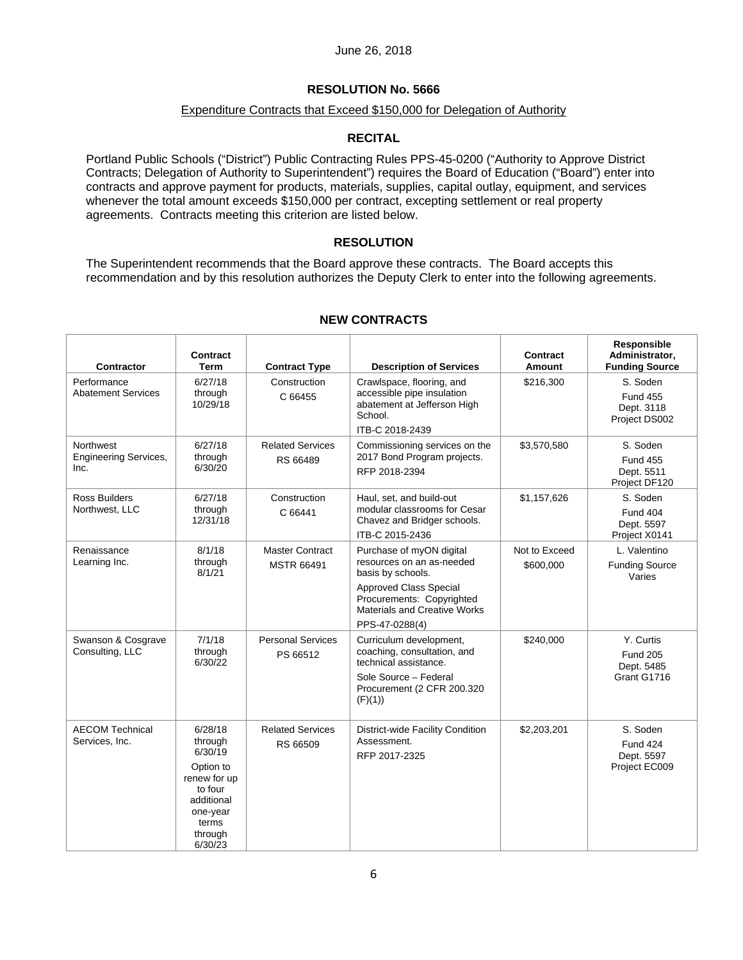### **RESOLUTION No. 5666**

### Expenditure Contracts that Exceed \$150,000 for Delegation of Authority

### **RECITAL**

Portland Public Schools ("District") Public Contracting Rules PPS-45-0200 ("Authority to Approve District Contracts; Delegation of Authority to Superintendent") requires the Board of Education ("Board") enter into contracts and approve payment for products, materials, supplies, capital outlay, equipment, and services whenever the total amount exceeds \$150,000 per contract, excepting settlement or real property agreements. Contracts meeting this criterion are listed below.

### **RESOLUTION**

The Superintendent recommends that the Board approve these contracts. The Board accepts this recommendation and by this resolution authorizes the Deputy Clerk to enter into the following agreements.

| <b>Contractor</b>                                 | <b>Contract</b><br><b>Term</b>                                                                                                 | <b>Contract Type</b>                        | <b>Description of Services</b>                                                                                                                                                             | <b>Contract</b><br>Amount  | Responsible<br>Administrator,<br><b>Funding Source</b>     |
|---------------------------------------------------|--------------------------------------------------------------------------------------------------------------------------------|---------------------------------------------|--------------------------------------------------------------------------------------------------------------------------------------------------------------------------------------------|----------------------------|------------------------------------------------------------|
| Performance<br><b>Abatement Services</b>          | 6/27/18<br>through<br>10/29/18                                                                                                 | Construction<br>C 66455                     | Crawlspace, flooring, and<br>accessible pipe insulation<br>abatement at Jefferson High<br>School.<br>ITB-C 2018-2439                                                                       | \$216,300                  | S. Soden<br><b>Fund 455</b><br>Dept. 3118<br>Project DS002 |
| Northwest<br><b>Engineering Services,</b><br>Inc. | 6/27/18<br>through<br>6/30/20                                                                                                  | <b>Related Services</b><br>RS 66489         | Commissioning services on the<br>2017 Bond Program projects.<br>RFP 2018-2394                                                                                                              | \$3,570,580                | S. Soden<br><b>Fund 455</b><br>Dept. 5511<br>Project DF120 |
| <b>Ross Builders</b><br>Northwest, LLC            | 6/27/18<br>through<br>12/31/18                                                                                                 | Construction<br>C 66441                     | Haul, set, and build-out<br>modular classrooms for Cesar<br>Chavez and Bridger schools.<br>ITB-C 2015-2436                                                                                 | \$1,157,626                | S. Soden<br><b>Fund 404</b><br>Dept. 5597<br>Project X0141 |
| Renaissance<br>Learning Inc.                      | 8/1/18<br>through<br>8/1/21                                                                                                    | <b>Master Contract</b><br><b>MSTR 66491</b> | Purchase of myON digital<br>resources on an as-needed<br>basis by schools.<br><b>Approved Class Special</b><br>Procurements: Copyrighted<br>Materials and Creative Works<br>PPS-47-0288(4) | Not to Exceed<br>\$600,000 | L. Valentino<br><b>Funding Source</b><br>Varies            |
| Swanson & Cosgrave<br>Consulting, LLC             | 7/1/18<br>through<br>6/30/22                                                                                                   | <b>Personal Services</b><br>PS 66512        | Curriculum development,<br>coaching, consultation, and<br>technical assistance.<br>Sole Source - Federal<br>Procurement (2 CFR 200.320<br>(F)(1)                                           | \$240,000                  | Y. Curtis<br><b>Fund 205</b><br>Dept. 5485<br>Grant G1716  |
| <b>AECOM Technical</b><br>Services, Inc.          | 6/28/18<br>through<br>6/30/19<br>Option to<br>renew for up<br>to four<br>additional<br>one-year<br>terms<br>through<br>6/30/23 | <b>Related Services</b><br>RS 66509         | District-wide Facility Condition<br>Assessment.<br>RFP 2017-2325                                                                                                                           | \$2,203,201                | S. Soden<br><b>Fund 424</b><br>Dept. 5597<br>Project EC009 |

## **NEW CONTRACTS**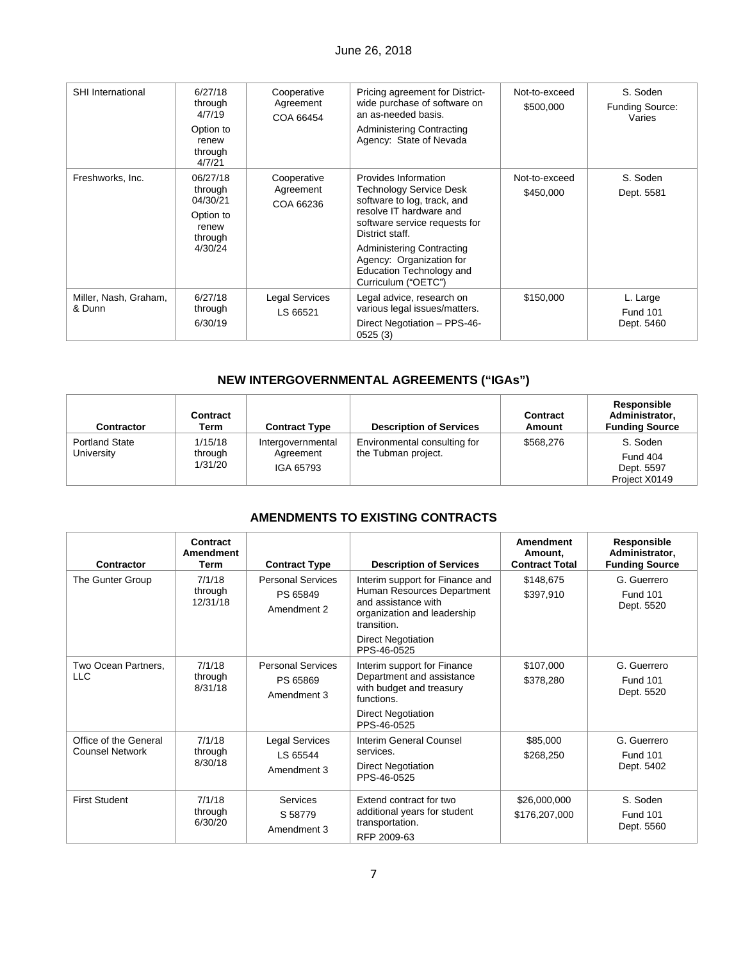| <b>SHI</b> International        | 6/27/18<br>through<br>4/7/19<br>Option to<br>renew<br>through<br>4/7/21     | Cooperative<br>Agreement<br>COA 66454 | Pricing agreement for District-<br>wide purchase of software on<br>an as-needed basis.<br>Administering Contracting<br>Agency: State of Nevada                                                                                                                                          | Not-to-exceed<br>\$500,000 | S. Soden<br><b>Funding Source:</b><br>Varies |
|---------------------------------|-----------------------------------------------------------------------------|---------------------------------------|-----------------------------------------------------------------------------------------------------------------------------------------------------------------------------------------------------------------------------------------------------------------------------------------|----------------------------|----------------------------------------------|
| Freshworks, Inc.                | 06/27/18<br>through<br>04/30/21<br>Option to<br>renew<br>through<br>4/30/24 | Cooperative<br>Agreement<br>COA 66236 | Provides Information<br><b>Technology Service Desk</b><br>software to log, track, and<br>resolve IT hardware and<br>software service requests for<br>District staff.<br><b>Administering Contracting</b><br>Agency: Organization for<br>Education Technology and<br>Curriculum ("OETC") | Not-to-exceed<br>\$450,000 | S. Soden<br>Dept. 5581                       |
| Miller, Nash, Graham,<br>& Dunn | 6/27/18<br>through<br>6/30/19                                               | Legal Services<br>LS 66521            | Legal advice, research on<br>various legal issues/matters.<br>Direct Negotiation - PPS-46-<br>0525(3)                                                                                                                                                                                   | \$150,000                  | L. Large<br><b>Fund 101</b><br>Dept. 5460    |

# **NEW INTERGOVERNMENTAL AGREEMENTS ("IGAs")**

| Contractor                          | Contract<br>Term              | <b>Contract Type</b>                        | <b>Description of Services</b>                      | Contract<br>Amount | Responsible<br>Administrator,<br><b>Funding Source</b> |
|-------------------------------------|-------------------------------|---------------------------------------------|-----------------------------------------------------|--------------------|--------------------------------------------------------|
| <b>Portland State</b><br>University | 1/15/18<br>through<br>1/31/20 | Intergovernmental<br>Agreement<br>IGA 65793 | Environmental consulting for<br>the Tubman project. | \$568,276          | S. Soden<br>Fund 404<br>Dept. 5597<br>Project X0149    |

## **AMENDMENTS TO EXISTING CONTRACTS**

| Contractor                                      | Contract<br>Amendment<br>Term | <b>Contract Type</b>                                | <b>Description of Services</b>                                                                                                                                  | <b>Amendment</b><br>Amount.<br><b>Contract Total</b> | Responsible<br>Administrator,<br><b>Funding Source</b> |
|-------------------------------------------------|-------------------------------|-----------------------------------------------------|-----------------------------------------------------------------------------------------------------------------------------------------------------------------|------------------------------------------------------|--------------------------------------------------------|
| The Gunter Group                                | 7/1/18<br>through<br>12/31/18 | <b>Personal Services</b><br>PS 65849<br>Amendment 2 | Interim support for Finance and<br>Human Resources Department<br>and assistance with<br>organization and leadership<br>transition.<br><b>Direct Negotiation</b> | \$148,675<br>\$397,910                               | G. Guerrero<br><b>Fund 101</b><br>Dept. 5520           |
| Two Ocean Partners,<br><b>LLC</b>               | 7/1/18<br>through<br>8/31/18  | <b>Personal Services</b><br>PS 65869<br>Amendment 3 | PPS-46-0525<br>Interim support for Finance<br>Department and assistance<br>with budget and treasury<br>functions.<br><b>Direct Negotiation</b><br>PPS-46-0525   | \$107,000<br>\$378,280                               | G. Guerrero<br><b>Fund 101</b><br>Dept. 5520           |
| Office of the General<br><b>Counsel Network</b> | 7/1/18<br>through<br>8/30/18  | Legal Services<br>LS 65544<br>Amendment 3           | Interim General Counsel<br>services.<br><b>Direct Negotiation</b><br>PPS-46-0525                                                                                | \$85,000<br>\$268,250                                | G. Guerrero<br><b>Fund 101</b><br>Dept. 5402           |
| <b>First Student</b>                            | 7/1/18<br>through<br>6/30/20  | Services<br>S 58779<br>Amendment 3                  | Extend contract for two<br>additional years for student<br>transportation.<br>RFP 2009-63                                                                       | \$26,000,000<br>\$176,207,000                        | S. Soden<br><b>Fund 101</b><br>Dept. 5560              |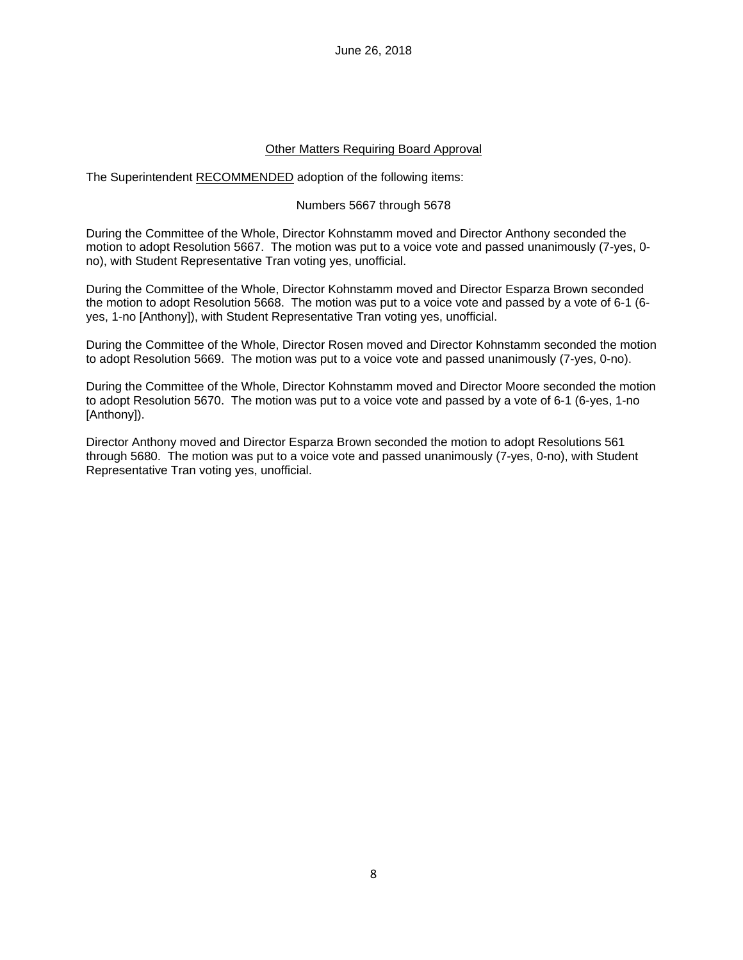### Other Matters Requiring Board Approval

The Superintendent RECOMMENDED adoption of the following items:

### Numbers 5667 through 5678

During the Committee of the Whole, Director Kohnstamm moved and Director Anthony seconded the motion to adopt Resolution 5667. The motion was put to a voice vote and passed unanimously (7-yes, 0 no), with Student Representative Tran voting yes, unofficial.

During the Committee of the Whole, Director Kohnstamm moved and Director Esparza Brown seconded the motion to adopt Resolution 5668. The motion was put to a voice vote and passed by a vote of 6-1 (6 yes, 1-no [Anthony]), with Student Representative Tran voting yes, unofficial.

During the Committee of the Whole, Director Rosen moved and Director Kohnstamm seconded the motion to adopt Resolution 5669. The motion was put to a voice vote and passed unanimously (7-yes, 0-no).

During the Committee of the Whole, Director Kohnstamm moved and Director Moore seconded the motion to adopt Resolution 5670. The motion was put to a voice vote and passed by a vote of 6-1 (6-yes, 1-no [Anthony]).

Director Anthony moved and Director Esparza Brown seconded the motion to adopt Resolutions 561 through 5680. The motion was put to a voice vote and passed unanimously (7-yes, 0-no), with Student Representative Tran voting yes, unofficial.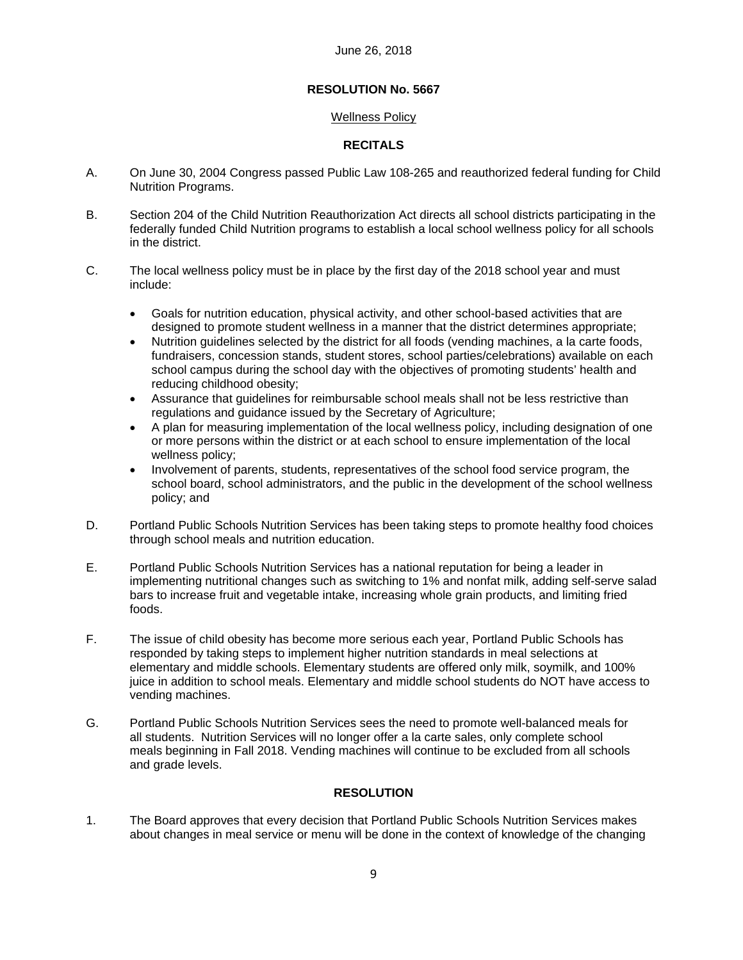### Wellness Policy

### **RECITALS**

- A. On June 30, 2004 Congress passed Public Law 108-265 and reauthorized federal funding for Child Nutrition Programs.
- B. Section 204 of the Child Nutrition Reauthorization Act directs all school districts participating in the federally funded Child Nutrition programs to establish a local school wellness policy for all schools in the district.
- C. The local wellness policy must be in place by the first day of the 2018 school year and must include:
	- Goals for nutrition education, physical activity, and other school-based activities that are designed to promote student wellness in a manner that the district determines appropriate;
	- Nutrition guidelines selected by the district for all foods (vending machines, a la carte foods, fundraisers, concession stands, student stores, school parties/celebrations) available on each school campus during the school day with the objectives of promoting students' health and reducing childhood obesity;
	- Assurance that guidelines for reimbursable school meals shall not be less restrictive than regulations and guidance issued by the Secretary of Agriculture;
	- A plan for measuring implementation of the local wellness policy, including designation of one or more persons within the district or at each school to ensure implementation of the local wellness policy;
	- Involvement of parents, students, representatives of the school food service program, the school board, school administrators, and the public in the development of the school wellness policy; and
- D. Portland Public Schools Nutrition Services has been taking steps to promote healthy food choices through school meals and nutrition education.
- E. Portland Public Schools Nutrition Services has a national reputation for being a leader in implementing nutritional changes such as switching to 1% and nonfat milk, adding self-serve salad bars to increase fruit and vegetable intake, increasing whole grain products, and limiting fried foods.
- F. The issue of child obesity has become more serious each year, Portland Public Schools has responded by taking steps to implement higher nutrition standards in meal selections at elementary and middle schools. Elementary students are offered only milk, soymilk, and 100% juice in addition to school meals. Elementary and middle school students do NOT have access to vending machines.
- G. Portland Public Schools Nutrition Services sees the need to promote well-balanced meals for all students. Nutrition Services will no longer offer a la carte sales, only complete school meals beginning in Fall 2018. Vending machines will continue to be excluded from all schools and grade levels.

## **RESOLUTION**

1. The Board approves that every decision that Portland Public Schools Nutrition Services makes about changes in meal service or menu will be done in the context of knowledge of the changing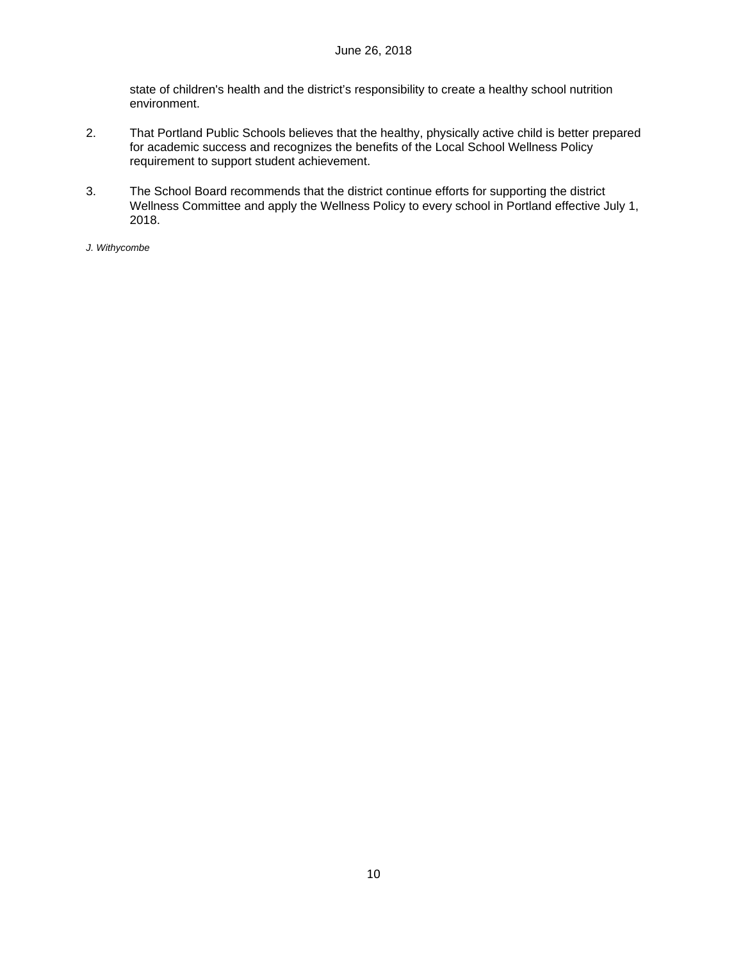state of children's health and the district's responsibility to create a healthy school nutrition environment.

- 2. That Portland Public Schools believes that the healthy, physically active child is better prepared for academic success and recognizes the benefits of the Local School Wellness Policy requirement to support student achievement.
- 3. The School Board recommends that the district continue efforts for supporting the district Wellness Committee and apply the Wellness Policy to every school in Portland effective July 1, 2018.

*J. Withycombe*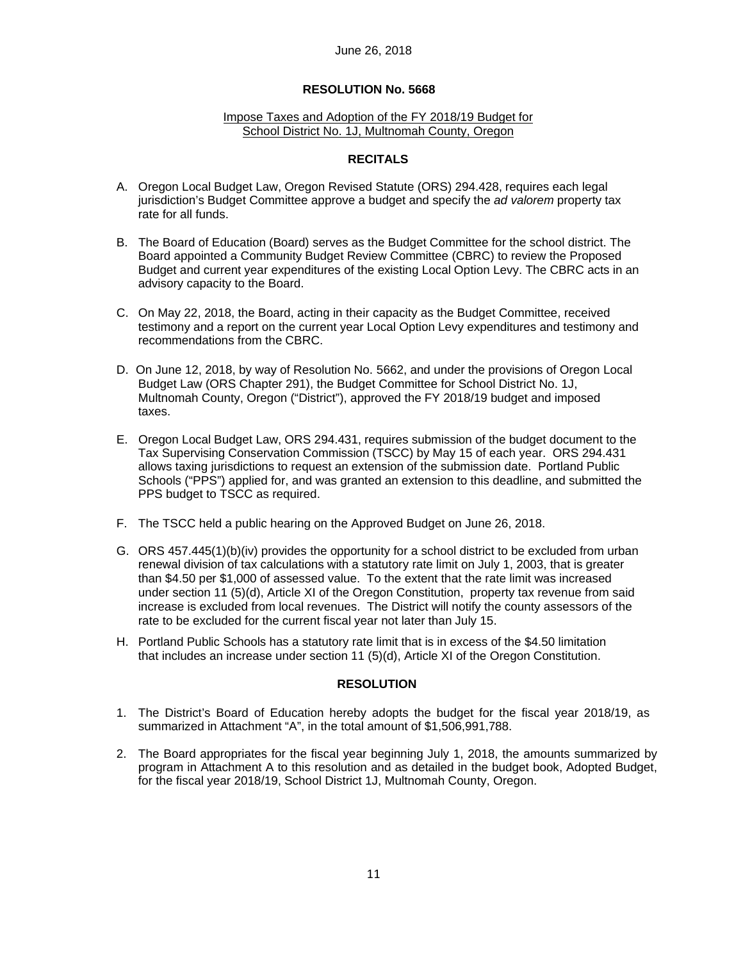#### Impose Taxes and Adoption of the FY 2018/19 Budget for School District No. 1J, Multnomah County, Oregon

### **RECITALS**

- A. Oregon Local Budget Law, Oregon Revised Statute (ORS) 294.428, requires each legal jurisdiction's Budget Committee approve a budget and specify the *ad valorem* property tax rate for all funds.
- B. The Board of Education (Board) serves as the Budget Committee for the school district. The Board appointed a Community Budget Review Committee (CBRC) to review the Proposed Budget and current year expenditures of the existing Local Option Levy. The CBRC acts in an advisory capacity to the Board.
- C. On May 22, 2018, the Board, acting in their capacity as the Budget Committee, received testimony and a report on the current year Local Option Levy expenditures and testimony and recommendations from the CBRC.
- D. On June 12, 2018, by way of Resolution No. 5662, and under the provisions of Oregon Local Budget Law (ORS Chapter 291), the Budget Committee for School District No. 1J, Multnomah County, Oregon ("District"), approved the FY 2018/19 budget and imposed taxes.
- E. Oregon Local Budget Law, ORS 294.431, requires submission of the budget document to the Tax Supervising Conservation Commission (TSCC) by May 15 of each year. ORS 294.431 allows taxing jurisdictions to request an extension of the submission date. Portland Public Schools ("PPS") applied for, and was granted an extension to this deadline, and submitted the PPS budget to TSCC as required.
- F. The TSCC held a public hearing on the Approved Budget on June 26, 2018.
- G. ORS 457.445(1)(b)(iv) provides the opportunity for a school district to be excluded from urban renewal division of tax calculations with a statutory rate limit on July 1, 2003, that is greater than \$4.50 per \$1,000 of assessed value. To the extent that the rate limit was increased under section 11 (5)(d), Article XI of the Oregon Constitution, property tax revenue from said increase is excluded from local revenues. The District will notify the county assessors of the rate to be excluded for the current fiscal year not later than July 15.
- H. Portland Public Schools has a statutory rate limit that is in excess of the \$4.50 limitation that includes an increase under section 11 (5)(d), Article XI of the Oregon Constitution.

### **RESOLUTION**

- 1. The District's Board of Education hereby adopts the budget for the fiscal year 2018/19, as summarized in Attachment "A", in the total amount of \$1,506,991,788.
- 2. The Board appropriates for the fiscal year beginning July 1, 2018, the amounts summarized by program in Attachment A to this resolution and as detailed in the budget book, Adopted Budget, for the fiscal year 2018/19, School District 1J, Multnomah County, Oregon.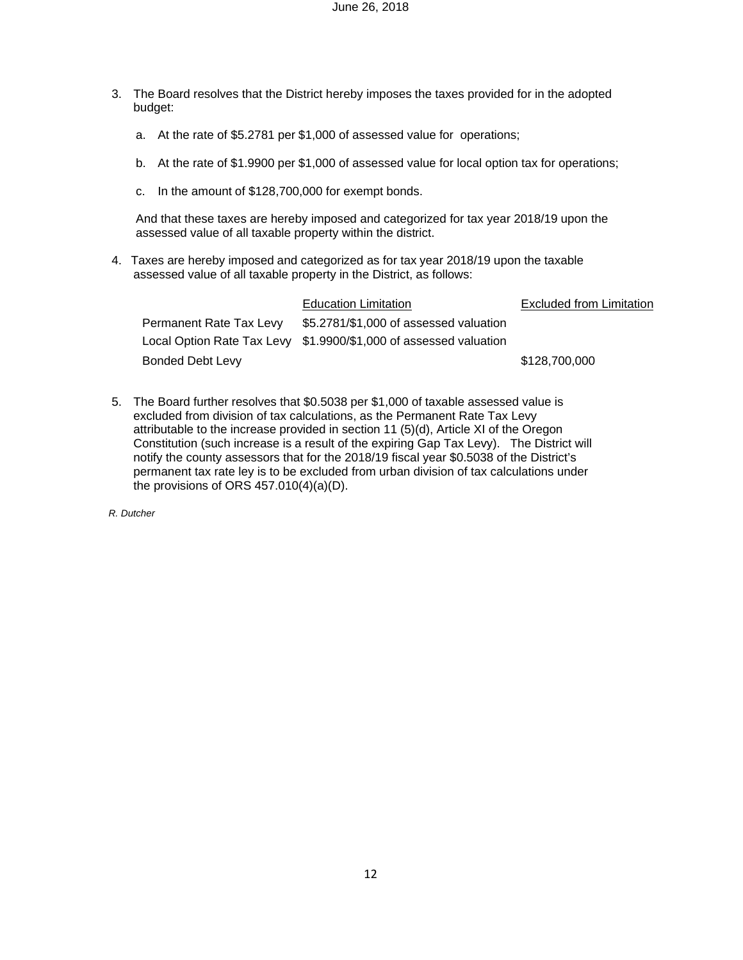- 3. The Board resolves that the District hereby imposes the taxes provided for in the adopted budget:
	- a. At the rate of \$5.2781 per \$1,000 of assessed value for operations;
	- b. At the rate of \$1.9900 per \$1,000 of assessed value for local option tax for operations;
	- c. In the amount of \$128,700,000 for exempt bonds.

And that these taxes are hereby imposed and categorized for tax year 2018/19 upon the assessed value of all taxable property within the district.

4. Taxes are hereby imposed and categorized as for tax year 2018/19 upon the taxable assessed value of all taxable property in the District, as follows:

|                         | Education Limitation                                              | <b>Excluded from Limitation</b> |
|-------------------------|-------------------------------------------------------------------|---------------------------------|
| Permanent Rate Tax Levy | \$5.2781/\$1,000 of assessed valuation                            |                                 |
|                         | Local Option Rate Tax Levy \$1.9900/\$1,000 of assessed valuation |                                 |
| Bonded Debt Levy        |                                                                   | \$128,700,000                   |

5. The Board further resolves that \$0.5038 per \$1,000 of taxable assessed value is excluded from division of tax calculations, as the Permanent Rate Tax Levy attributable to the increase provided in section 11 (5)(d), Article XI of the Oregon Constitution (such increase is a result of the expiring Gap Tax Levy). The District will notify the county assessors that for the 2018/19 fiscal year \$0.5038 of the District's permanent tax rate ley is to be excluded from urban division of tax calculations under the provisions of ORS 457.010(4)(a)(D).

*R. Dutcher*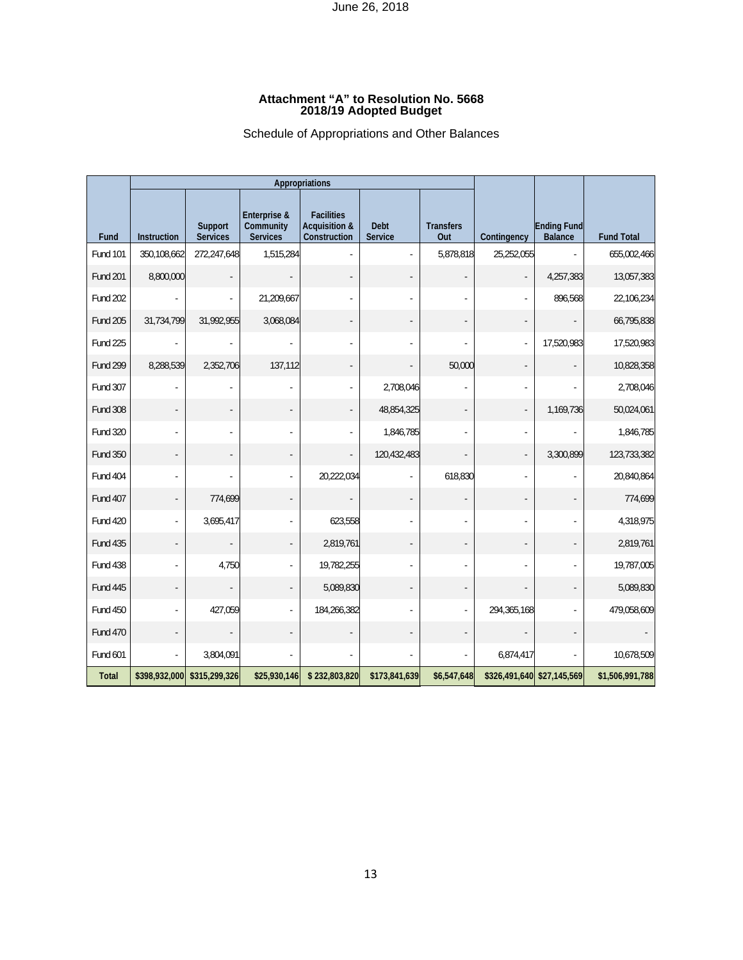#### **Attachment "A" to Resolution No. 5668 2018/19 Adopted Budget**

## Schedule of Appropriations and Other Balances

|                 |                    |                            | Appropriations                               |                                                               |                               |                         |                            |                                      |                   |
|-----------------|--------------------|----------------------------|----------------------------------------------|---------------------------------------------------------------|-------------------------------|-------------------------|----------------------------|--------------------------------------|-------------------|
| Fund            | <b>Instruction</b> | Support<br><b>Services</b> | Enterprise &<br>Community<br><b>Services</b> | <b>Facilities</b><br><b>Acquisition &amp;</b><br>Construction | <b>Debt</b><br><b>Service</b> | <b>Transfers</b><br>Out | Contingency                | <b>Ending Fund</b><br><b>Balance</b> | <b>Fund Total</b> |
| <b>Fund 101</b> | 350,108,662        | 272,247,648                | 1,515,284                                    |                                                               |                               | 5,878,818               | 25,252,055                 |                                      | 655,002,466       |
| <b>Fund 201</b> | 8,800,000          |                            |                                              |                                                               |                               |                         |                            | 4,257,383                            | 13,057,383        |
| <b>Fund 202</b> |                    |                            | 21,209,667                                   |                                                               |                               |                         |                            | 896,568                              | 22,106,234        |
| <b>Fund 205</b> | 31,734,799         | 31,992,955                 | 3,068,084                                    |                                                               |                               |                         |                            | $\overline{\phantom{a}}$             | 66,795,838        |
| Fund 225        |                    |                            |                                              |                                                               |                               |                         |                            | 17,520,983                           | 17,520,983        |
| <b>Fund 299</b> | 8,288,539          | 2,352,706                  | 137,112                                      |                                                               |                               | 50,000                  |                            |                                      | 10,828,358        |
| Fund 307        |                    |                            |                                              |                                                               | 2,708,046                     |                         |                            |                                      | 2,708,046         |
| <b>Fund 308</b> |                    |                            |                                              | ÷,                                                            | 48,854,325                    |                         | $\blacksquare$             | 1,169,736                            | 50,024,061        |
| Fund 320        |                    |                            |                                              |                                                               | 1,846,785                     |                         |                            |                                      | 1,846,785         |
| <b>Fund 350</b> |                    |                            |                                              |                                                               | 120,432,483                   |                         |                            | 3,300,899                            | 123,733,382       |
| Fund 404        |                    |                            |                                              | 20,222,034                                                    |                               | 618,830                 |                            | L.                                   | 20,840,864        |
| Fund 407        |                    | 774,699                    |                                              |                                                               |                               |                         |                            | $\overline{\phantom{a}}$             | 774,699           |
| Fund 420        |                    | 3,695,417                  |                                              | 623,558                                                       |                               |                         |                            | ÷,                                   | 4,318,975         |
| <b>Fund 435</b> |                    |                            |                                              | 2,819,761                                                     |                               |                         |                            | $\overline{\phantom{a}}$             | 2,819,761         |
| Fund 438        |                    | 4,750                      |                                              | 19,782,255                                                    |                               |                         |                            | ä,                                   | 19,787,005        |
| Fund 445        |                    |                            |                                              | 5,089,830                                                     |                               |                         |                            | ÷,                                   | 5,089,830         |
| <b>Fund 450</b> |                    | 427,059                    |                                              | 184,266,382                                                   |                               |                         | 294,365,168                | ÷.                                   | 479,058,609       |
| <b>Fund 470</b> |                    |                            |                                              |                                                               |                               |                         |                            | $\overline{\phantom{a}}$             |                   |
| Fund 601        |                    | 3,804,091                  |                                              |                                                               |                               |                         | 6,874,417                  | ä,                                   | 10,678,509        |
| <b>Total</b>    | \$398,932,000      | \$315,299,326              | \$25,930,146                                 | \$232,803,820                                                 | \$173,841,639                 | \$6,547,648             | \$326,491,640 \$27,145,569 |                                      | \$1,506,991,788   |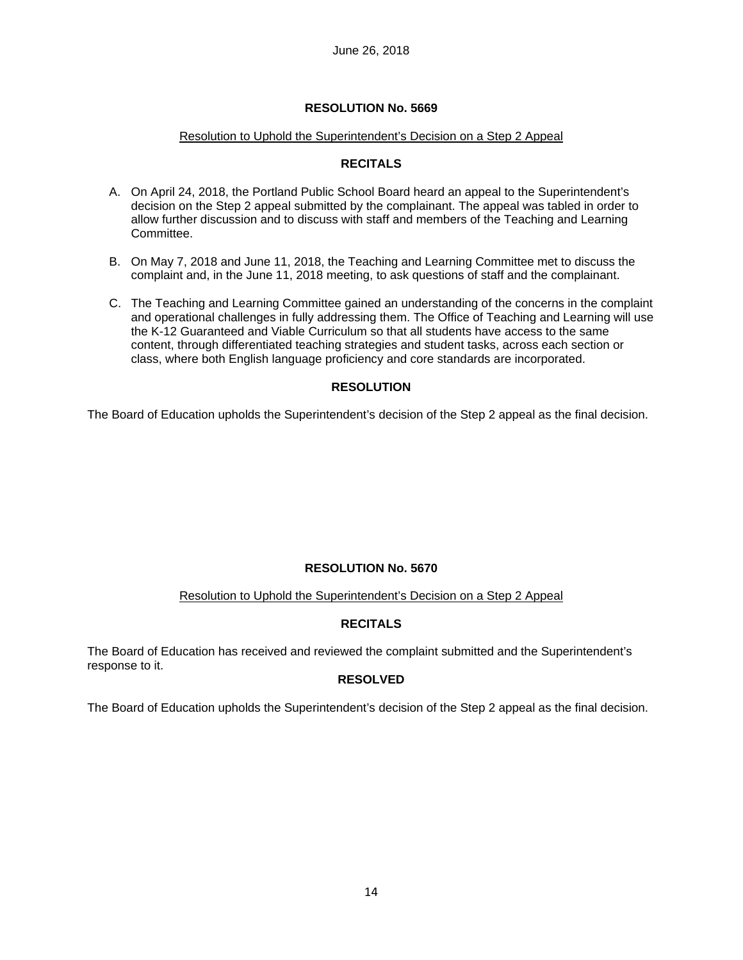## Resolution to Uphold the Superintendent's Decision on a Step 2 Appeal

## **RECITALS**

- A. On April 24, 2018, the Portland Public School Board heard an appeal to the Superintendent's decision on the Step 2 appeal submitted by the complainant. The appeal was tabled in order to allow further discussion and to discuss with staff and members of the Teaching and Learning Committee.
- B. On May 7, 2018 and June 11, 2018, the Teaching and Learning Committee met to discuss the complaint and, in the June 11, 2018 meeting, to ask questions of staff and the complainant.
- C. The Teaching and Learning Committee gained an understanding of the concerns in the complaint and operational challenges in fully addressing them. The Office of Teaching and Learning will use the K-12 Guaranteed and Viable Curriculum so that all students have access to the same content, through differentiated teaching strategies and student tasks, across each section or class, where both English language proficiency and core standards are incorporated.

## **RESOLUTION**

The Board of Education upholds the Superintendent's decision of the Step 2 appeal as the final decision.

## **RESOLUTION No. 5670**

## Resolution to Uphold the Superintendent's Decision on a Step 2 Appeal

## **RECITALS**

The Board of Education has received and reviewed the complaint submitted and the Superintendent's response to it.

## **RESOLVED**

The Board of Education upholds the Superintendent's decision of the Step 2 appeal as the final decision.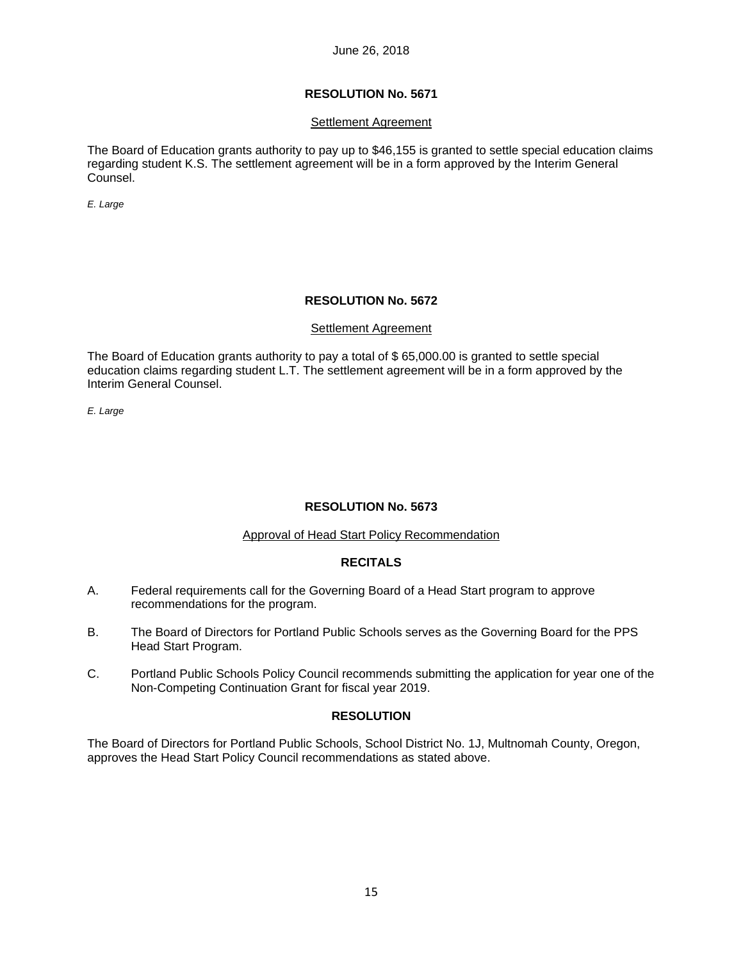## **RESOLUTION No. 5671**

### Settlement Agreement

The Board of Education grants authority to pay up to \$46,155 is granted to settle special education claims regarding student K.S. The settlement agreement will be in a form approved by the Interim General Counsel.

*E. Large* 

## **RESOLUTION No. 5672**

### Settlement Agreement

The Board of Education grants authority to pay a total of \$ 65,000.00 is granted to settle special education claims regarding student L.T. The settlement agreement will be in a form approved by the Interim General Counsel.

*E. Large* 

## **RESOLUTION No. 5673**

### Approval of Head Start Policy Recommendation

## **RECITALS**

- A. Federal requirements call for the Governing Board of a Head Start program to approve recommendations for the program.
- B. The Board of Directors for Portland Public Schools serves as the Governing Board for the PPS Head Start Program.
- C. Portland Public Schools Policy Council recommends submitting the application for year one of the Non-Competing Continuation Grant for fiscal year 2019.

## **RESOLUTION**

The Board of Directors for Portland Public Schools, School District No. 1J, Multnomah County, Oregon, approves the Head Start Policy Council recommendations as stated above.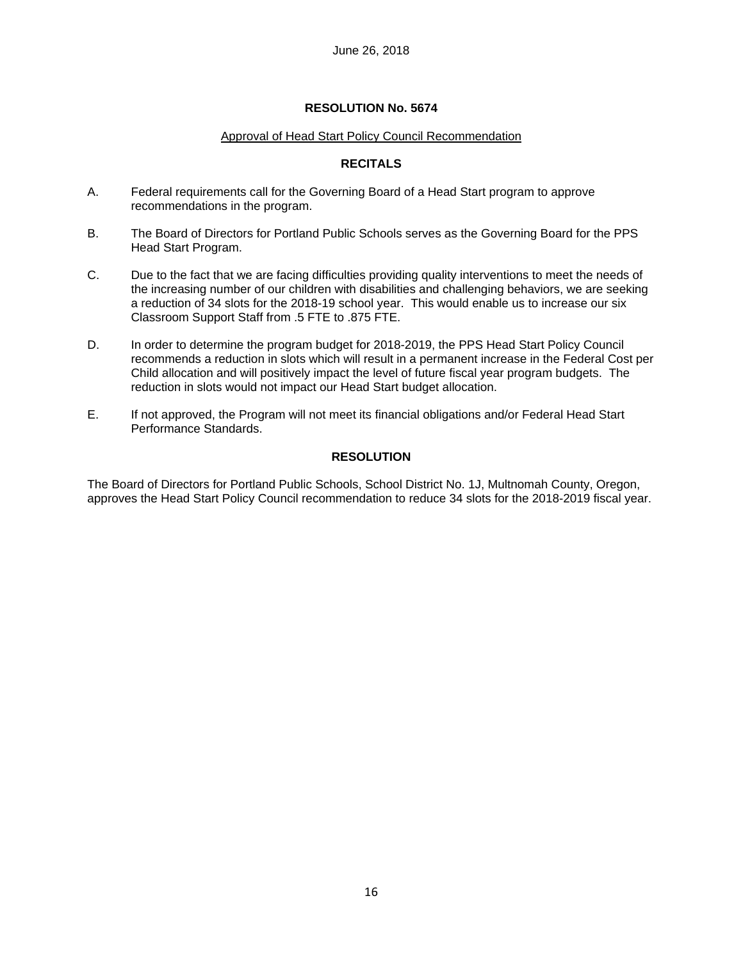## Approval of Head Start Policy Council Recommendation

## **RECITALS**

- A. Federal requirements call for the Governing Board of a Head Start program to approve recommendations in the program.
- B. The Board of Directors for Portland Public Schools serves as the Governing Board for the PPS Head Start Program.
- C. Due to the fact that we are facing difficulties providing quality interventions to meet the needs of the increasing number of our children with disabilities and challenging behaviors, we are seeking a reduction of 34 slots for the 2018-19 school year. This would enable us to increase our six Classroom Support Staff from .5 FTE to .875 FTE.
- D. In order to determine the program budget for 2018-2019, the PPS Head Start Policy Council recommends a reduction in slots which will result in a permanent increase in the Federal Cost per Child allocation and will positively impact the level of future fiscal year program budgets. The reduction in slots would not impact our Head Start budget allocation.
- E. If not approved, the Program will not meet its financial obligations and/or Federal Head Start Performance Standards.

## **RESOLUTION**

The Board of Directors for Portland Public Schools, School District No. 1J, Multnomah County, Oregon, approves the Head Start Policy Council recommendation to reduce 34 slots for the 2018-2019 fiscal year.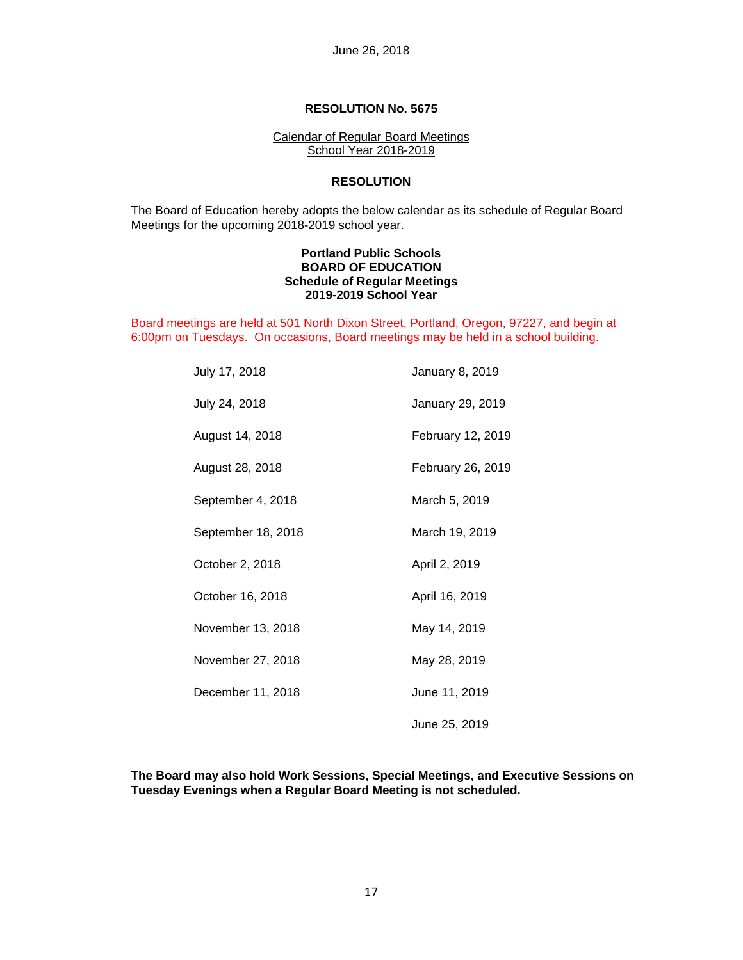### Calendar of Regular Board Meetings School Year 2018-2019

## **RESOLUTION**

 The Board of Education hereby adopts the below calendar as its schedule of Regular Board Meetings for the upcoming 2018-2019 school year.

### **Portland Public Schools BOARD OF EDUCATION Schedule of Regular Meetings 2019-2019 School Year**

Board meetings are held at 501 North Dixon Street, Portland, Oregon, 97227, and begin at 6:00pm on Tuesdays. On occasions, Board meetings may be held in a school building.

| July 17, 2018      | January 8, 2019   |
|--------------------|-------------------|
| July 24, 2018      | January 29, 2019  |
| August 14, 2018    | February 12, 2019 |
| August 28, 2018    | February 26, 2019 |
| September 4, 2018  | March 5, 2019     |
| September 18, 2018 | March 19, 2019    |
| October 2, 2018    | April 2, 2019     |
| October 16, 2018   | April 16, 2019    |
| November 13, 2018  | May 14, 2019      |
| November 27, 2018  | May 28, 2019      |
| December 11, 2018  | June 11, 2019     |
|                    | June 25, 2019     |

 **The Board may also hold Work Sessions, Special Meetings, and Executive Sessions on Tuesday Evenings when a Regular Board Meeting is not scheduled.**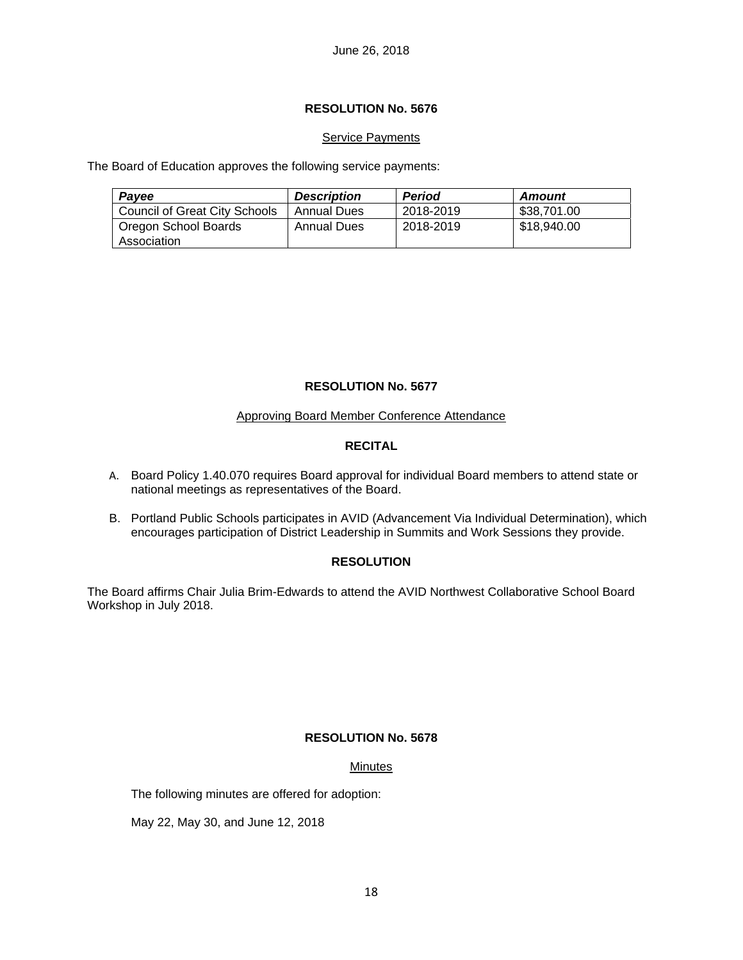## **RESOLUTION No. 5676**

## **Service Payments**

The Board of Education approves the following service payments:

| Payee                                | <b>Description</b> | <b>Period</b> | Amount      |
|--------------------------------------|--------------------|---------------|-------------|
| <b>Council of Great City Schools</b> | Annual Dues        | 2018-2019     | \$38.701.00 |
| Oregon School Boards<br>Association  | Annual Dues        | 2018-2019     | \$18,940.00 |

## **RESOLUTION No. 5677**

## Approving Board Member Conference Attendance

## **RECITAL**

- A. Board Policy 1.40.070 requires Board approval for individual Board members to attend state or national meetings as representatives of the Board.
- B. Portland Public Schools participates in AVID (Advancement Via Individual Determination), which encourages participation of District Leadership in Summits and Work Sessions they provide.

## **RESOLUTION**

The Board affirms Chair Julia Brim-Edwards to attend the AVID Northwest Collaborative School Board Workshop in July 2018.

## **RESOLUTION No. 5678**

## **Minutes**

The following minutes are offered for adoption:

May 22, May 30, and June 12, 2018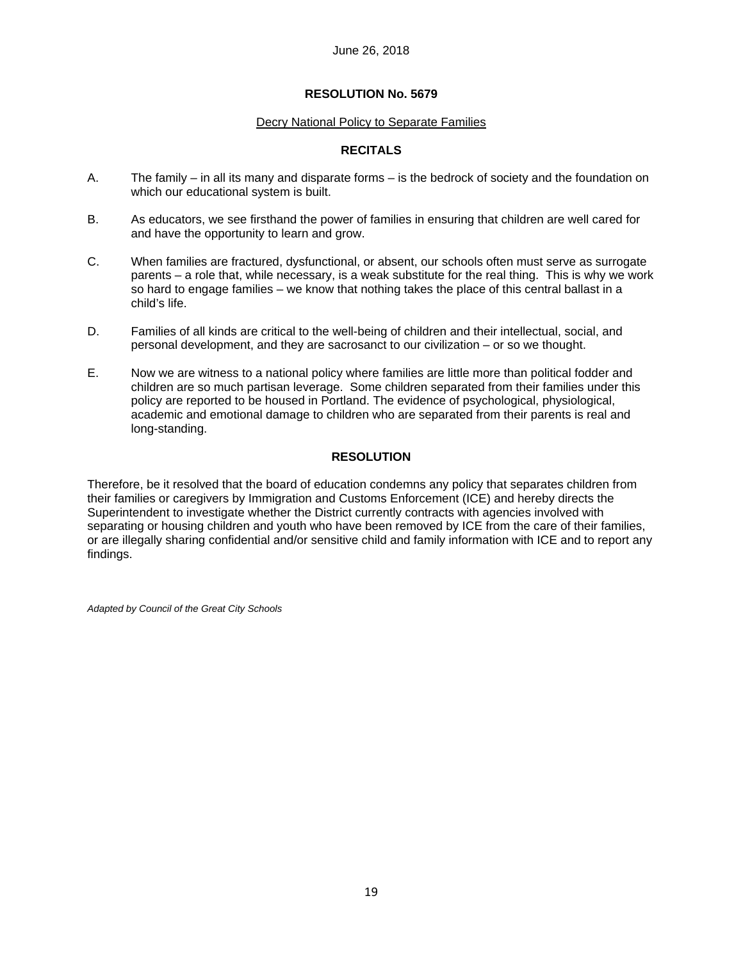### Decry National Policy to Separate Families

## **RECITALS**

- A. The family in all its many and disparate forms is the bedrock of society and the foundation on which our educational system is built.
- B. As educators, we see firsthand the power of families in ensuring that children are well cared for and have the opportunity to learn and grow.
- C. When families are fractured, dysfunctional, or absent, our schools often must serve as surrogate parents – a role that, while necessary, is a weak substitute for the real thing. This is why we work so hard to engage families – we know that nothing takes the place of this central ballast in a child's life.
- D. Families of all kinds are critical to the well-being of children and their intellectual, social, and personal development, and they are sacrosanct to our civilization – or so we thought.
- E. Now we are witness to a national policy where families are little more than political fodder and children are so much partisan leverage. Some children separated from their families under this policy are reported to be housed in Portland. The evidence of psychological, physiological, academic and emotional damage to children who are separated from their parents is real and long-standing.

## **RESOLUTION**

Therefore, be it resolved that the board of education condemns any policy that separates children from their families or caregivers by Immigration and Customs Enforcement (ICE) and hereby directs the Superintendent to investigate whether the District currently contracts with agencies involved with separating or housing children and youth who have been removed by ICE from the care of their families, or are illegally sharing confidential and/or sensitive child and family information with ICE and to report any findings.

*Adapted by Council of the Great City Schools*